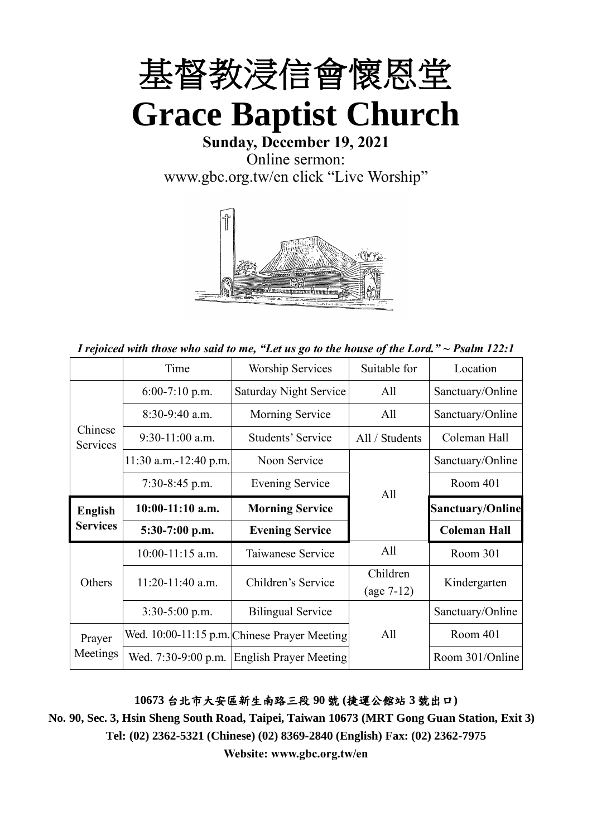

**Sunday, December 19, 2021** Online sermon: [www.gbc.org.tw/en](http://www.gbc.org.tw/en) click "Live Worship"



*I rejoiced with those who said to me, "Let us go to the house of the Lord." ~ Psalm 122:1*

|                                   | Time                    | <b>Worship Services</b>                      | Suitable for   | Location                |
|-----------------------------------|-------------------------|----------------------------------------------|----------------|-------------------------|
| Chinese<br>Services               | $6:00-7:10$ p.m.        | Saturday Night Service                       | All            | Sanctuary/Online        |
|                                   | $8:30-9:40$ a.m.        | Morning Service                              | All            | Sanctuary/Online        |
|                                   | $9:30-11:00$ a.m.       | Students' Service                            | All / Students | Coleman Hall            |
|                                   | $11:30$ a.m.-12:40 p.m. | Noon Service                                 |                | Sanctuary/Online        |
|                                   | 7:30-8:45 p.m.          | Evening Service                              | All            | Room 401                |
| <b>English</b><br><b>Services</b> | $10:00-11:10$ a.m.      | <b>Morning Service</b>                       |                | <b>Sanctuary/Online</b> |
|                                   | 5:30-7:00 p.m.          | <b>Evening Service</b>                       |                | <b>Coleman Hall</b>     |
| Others                            | $10:00-11:15$ a.m.      | Taiwanese Service                            | All            | Room 301                |
|                                   | $11:20-11:40$ a.m.      | Children's Service                           | Children       | Kindergarten            |
|                                   |                         | $(age 7-12)$                                 |                |                         |
|                                   | $3:30-5:00$ p.m.        | <b>Bilingual Service</b>                     |                | Sanctuary/Online        |
| Prayer<br>Meetings                |                         | Wed. 10:00-11:15 p.m. Chinese Prayer Meeting | All            | Room 401                |
|                                   | Wed. 7:30-9:00 p.m.     | <b>English Prayer Meeting</b>                |                | Room 301/Online         |

#### **10673** 台北市大安區新生南路三段 **90** 號 **(**捷運公館站 **3** 號出口**)**

**No. 90, Sec. 3, Hsin Sheng South Road, Taipei, Taiwan 10673 (MRT Gong Guan Station, Exit 3) Tel: (02) 2362-5321 (Chinese) (02) 8369-2840 (English) Fax: (02) 2362-7975**

**Website: www.gbc.org.tw/en**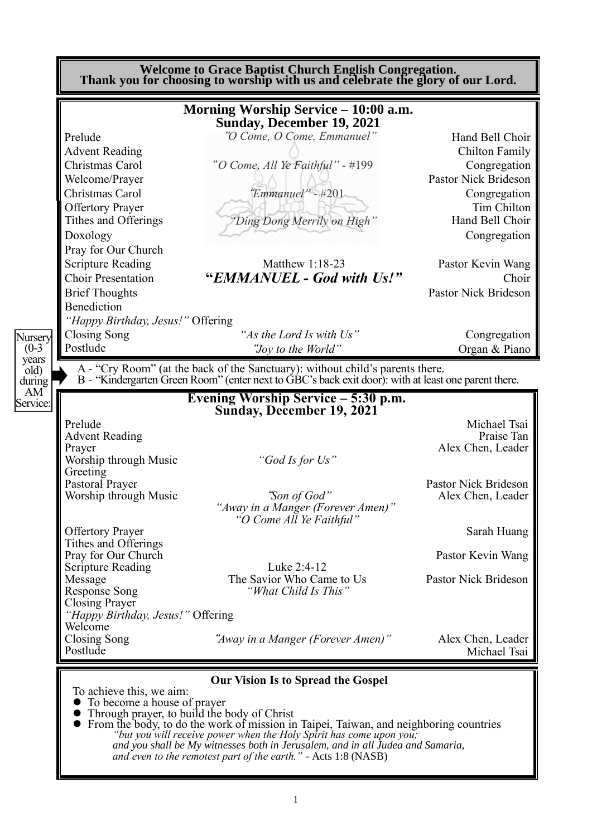**Welcome to Grace Baptist Church English Congregation. Thank you for choosing to worship with us and celebrate the glory of our Lord. Morning Worship Service – 10:00 a.m. Sunday, December 19, 2021** Prelude "*O Come, O Come, Emmanuel*" Hand Bell Choir Advent Reading Chilton Family Christmas Carol "*O Come, All Ye Faithful*" - #199 Congregation Welcome/Prayer  $\bigcup_{n=1}^{\infty}$   $\bigcap_{n=1}^{\infty}$  Pastor Nick Brideson Christmas Carol"*Emmanuel"* - #201 Congregation Offertory Prayer Tim Chilton Tithes and Offerings *"Ding Dong Merrily on High"* Hand Bell Choir Doxology Congregation Pray for Our Church Scripture Reading Matthew 1:18-23 Pastor Kevin Wang Choir Presentation **"***EMMANUEL - God with Us!"* Choir Brief Thoughts **Pastor Nick Brideson Pastor Nick Brideson** Benediction *"Happy Birthday, Jesus!"* Offering Closing Song *"As the Lord Is with Us"* Congregation Postlude "*Joy to the World*" Organ & Piano A - "Cry Room" (at the back of the Sanctuary): without child's parents there. B - "Kindergarten Green Room" (enter next to GBC's back exit door): with at least one parent there. **Evening Worship Service – 5:30 p.m. Sunday, December 19, 2021**  Prelude Michael Tsai<br>Advent Reading Praise Tan Advent Reading Prayer Alex Chen, Leader Alex Chen, Leader Worship through Music *"God Is for Us"* Greeting<br>Pastoral Prayer "Son of God"<br>"Son of God" Reader Reader **Worship through Music** *"Away in a Manger (Forever Amen)" "O Come All Ye Faithful"*  Offertory Prayer Sarah Huang Tithes and Offerings Pray for Our Church Pastor Kevin Wang Scripture Reading Luke 2:4-12 Message The Savior Who Came to Us<br>
Response Song "What Child Is This" Pastor Nick Brideson Response Song *"What Child Is This"* Closing Prayer *"Happy Birthday, Jesus!"* Offering Welcome<br>Closing Song Closing Song"*Away in a Manger (Forever Amen)"* Alex Chen, Leader Michael Tsai **Our Vision Is to Spread the Gospel** To achieve this, we aim: ⚫ To become a house of prayer Nursery  $(0-3)$ years old) during AM Service:

⚫ Through prayer, to build the body of Christ

⚫ From the body, to do the work of mission in Taipei, Taiwan, and neighboring countries *"but you will receive power when the Holy Spirit has come upon you; and you shall be My witnesses both in Jerusalem, and in all Judea and Samaria, and even to the remotest part of the earth." -* Acts 1:8 (NASB)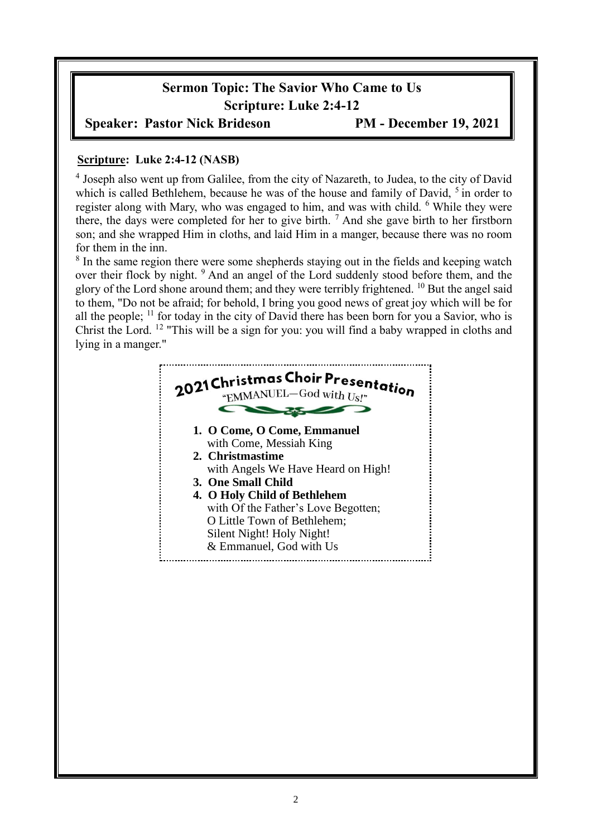# **Sermon Topic: The Savior Who Came to Us Scripture: Luke 2:4-12**

## **Speaker: Pastor Nick Brideson PM - December 19, 2021**

### **Scripture: Luke 2:4-12 (NASB)**

<sup>4</sup> Joseph also went up from Galilee, from the city of Nazareth, to Judea, to the city of David which is called Bethlehem, because he was of the house and family of David, <sup>5</sup> in order to register along with Mary, who was engaged to him, and was with child. <sup>6</sup> While they were there, the days were completed for her to give birth.  $<sup>7</sup>$  And she gave birth to her firstborn</sup> son; and she wrapped Him in cloths, and laid Him in a manger, because there was no room for them in the inn.

<sup>8</sup> In the same region there were some shepherds staying out in the fields and keeping watch over their flock by night. <sup>9</sup> And an angel of the Lord suddenly stood before them, and the glory of the Lord shone around them; and they were terribly frightened. <sup>10</sup> But the angel said to them, "Do not be afraid; for behold, I bring you good news of great joy which will be for all the people;  $\frac{11}{1}$  for today in the city of David there has been born for you a Savior, who is Christ the Lord. <sup>12</sup> "This will be a sign for you: you will find a baby wrapped in cloths and lying in a manger."

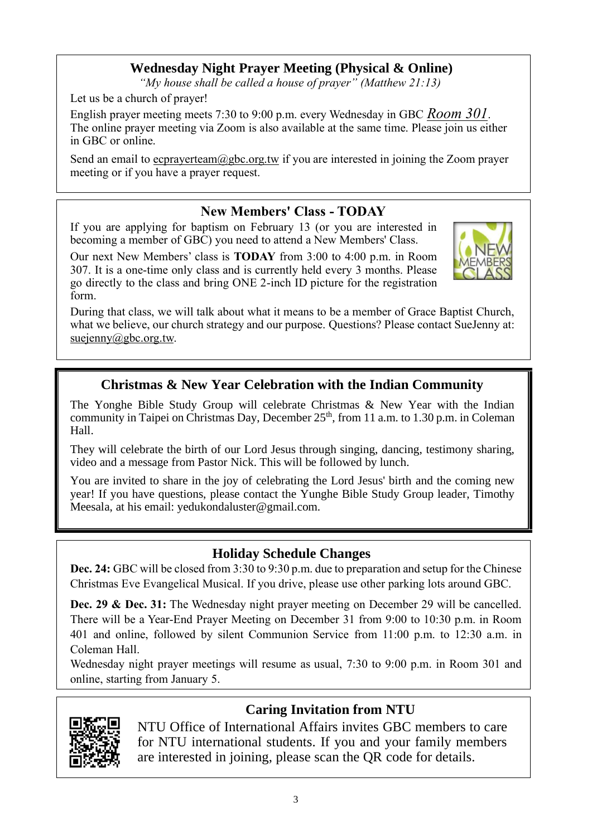# **Wednesday Night Prayer Meeting (Physical & Online)**

*"My house shall be called a house of prayer" (Matthew 21:13)*

Let us be a church of prayer!

English prayer meeting meets 7:30 to 9:00 p.m. every Wednesday in GBC *Room 301*. The online prayer meeting via Zoom is also available at the same time. Please join us either in GBC or online.

Send an email to ecprayerteam@gbc.org.tw if you are interested in joining the Zoom prayer meeting or if you have a prayer request.

# **New Members' Class - TODAY**

If you are applying for baptism on February 13 (or you are interested in becoming a member of GBC) you need to attend a New Members' Class.

Our next New Members' class is **TODAY** from 3:00 to 4:00 p.m. in Room 307. It is a one-time only class and is currently held every 3 months. Please go directly to the class and bring ONE 2-inch ID picture for the registration form.



During that class, we will talk about what it means to be a member of Grace Baptist Church, what we believe, our church strategy and our purpose. Questions? Please contact SueJenny at: suejenny@gbc.org.tw.

# **Christmas & New Year Celebration with the Indian Community**

The Yonghe Bible Study Group will celebrate Christmas & New Year with the Indian community in Taipei on Christmas Day, December  $25<sup>th</sup>$ , from 11 a.m. to 1.30 p.m. in Coleman Hall.

They will celebrate the birth of our Lord Jesus through singing, dancing, testimony sharing, video and a message from Pastor Nick. This will be followed by lunch.

You are invited to share in the joy of celebrating the Lord Jesus' birth and the coming new year! If you have questions, please contact the Yunghe Bible Study Group leader, Timothy Meesala, at his email: yedukondaluster@gmail.com.

# **Holiday Schedule Changes**

**Dec. 24:** GBC will be closed from 3:30 to 9:30 p.m. due to preparation and setup for the Chinese Christmas Eve Evangelical Musical. If you drive, please use other parking lots around GBC.

**Dec. 29 & Dec. 31:** The Wednesday night prayer meeting on December 29 will be cancelled. There will be a Year-End Prayer Meeting on December 31 from 9:00 to 10:30 p.m. in Room 401 and online, followed by silent Communion Service from 11:00 p.m. to 12:30 a.m. in Coleman Hall.

Wednesday night prayer meetings will resume as usual, 7:30 to 9:00 p.m. in Room 301 and online, starting from January 5.



# **Caring Invitation from NTU**

NTU Office of International Affairs invites GBC members to care for NTU international students. If you and your family members are interested in joining, please scan the QR code for details.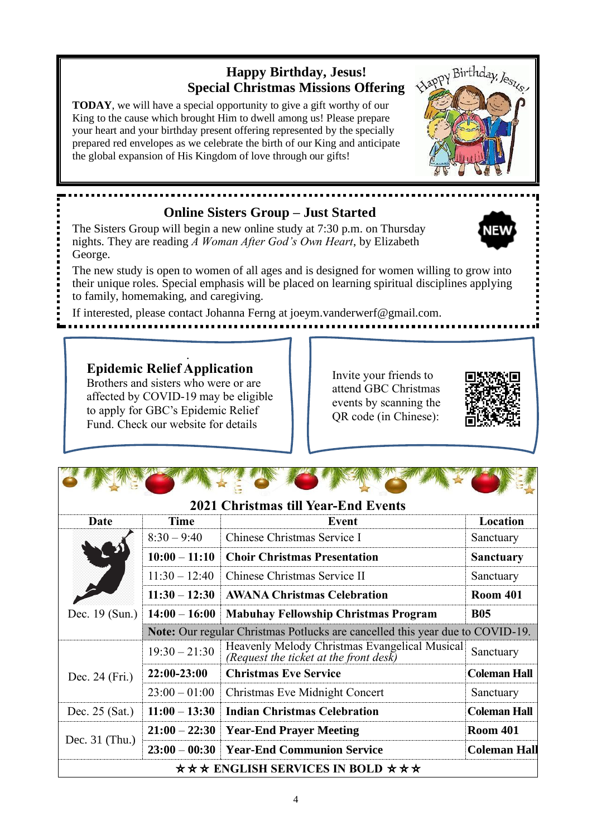# **Happy Birthday, Jesus! Special Christmas Missions Offering**

**TODAY**, we will have a special opportunity to give a gift worthy of our King to the cause which brought Him to dwell among us! Please prepare your heart and your birthday present offering represented by the specially prepared red envelopes as we celebrate the birth of our King and anticipate the global expansion of His Kingdom of love through our gifts!

# **Online Sisters Group – Just Started**

The Sisters Group will begin a new online study at 7:30 p.m. on Thursday nights. They are reading *A Woman After God's Own Heart*, by Elizabeth George.

The new study is open to women of all ages and is designed for women willing to grow into their unique roles. Special emphasis will be placed on learning spiritual disciplines applying to family, homemaking, and caregiving.

If interested, please contact Johanna Ferng at joeym.vanderwerf@gmail.com.

**Epidemic Relief Application** Brothers and sisters who were or are affected by COVID-19 may be eligible to apply for GBC's Epidemic Relief Fund. Check our website for details .

Invite your friends to attend GBC Christmas events by scanning the QR code (in Chinese):

|                                                                                                |                                                                                      | <b>2021 Christmas till Year-End Events</b>                                              |                     |  |
|------------------------------------------------------------------------------------------------|--------------------------------------------------------------------------------------|-----------------------------------------------------------------------------------------|---------------------|--|
| Date                                                                                           | Time                                                                                 | Event                                                                                   | Location            |  |
|                                                                                                | $8:30 - 9:40$                                                                        | Chinese Christmas Service I                                                             | Sanctuary           |  |
|                                                                                                | $10:00 - 11:10$                                                                      | <b>Choir Christmas Presentation</b>                                                     | <b>Sanctuary</b>    |  |
|                                                                                                | $11:30 - 12:40$                                                                      | Chinese Christmas Service II                                                            | Sanctuary           |  |
|                                                                                                | $11:30 - 12:30$                                                                      | <b>AWANA Christmas Celebration</b>                                                      | <b>Room 401</b>     |  |
| Dec. 19 (Sun.)<br><b>B05</b><br>$14:00 - 16:00$<br><b>Mabuhay Fellowship Christmas Program</b> |                                                                                      |                                                                                         |                     |  |
|                                                                                                | <b>Note:</b> Our regular Christmas Potlucks are cancelled this year due to COVID-19. |                                                                                         |                     |  |
|                                                                                                | $19:30 - 21:30$                                                                      | Heavenly Melody Christmas Evangelical Musical<br>(Request the ticket at the front desk) | Sanctuary           |  |
| Dec. 24 (Fri.)                                                                                 | 22:00-23:00                                                                          | <b>Christmas Eve Service</b>                                                            | <b>Coleman Hall</b> |  |
|                                                                                                | $23:00 - 01:00$                                                                      | <b>Christmas Eve Midnight Concert</b>                                                   | Sanctuary           |  |
| Dec. $25$ (Sat.)                                                                               | $11:00 - 13:30$                                                                      | <b>Indian Christmas Celebration</b><br><b>Coleman Hall</b>                              |                     |  |
|                                                                                                |                                                                                      | $21:00 - 22:30$ Year-End Prayer Meeting                                                 | <b>Room 401</b>     |  |
| Dec. $31$ (Thu.)                                                                               |                                                                                      | $23:00 - 00:30$ Year-End Communion Service                                              | <b>Coleman Hall</b> |  |
|                                                                                                |                                                                                      | $\star \star \star$ ENGLISH SERVICES IN BOLD $\star \star \star$                        |                     |  |



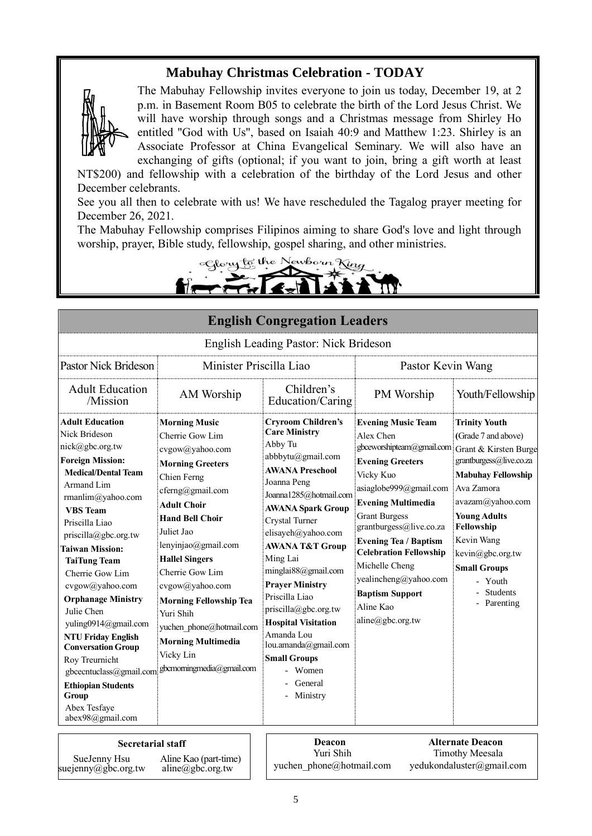## **Mabuhay Christmas Celebration - TODAY**



The Mabuhay Fellowship invites everyone to join us today, December 19, at 2 p.m. in Basement Room B05 to celebrate the birth of the Lord Jesus Christ. We will have worship through songs and a Christmas message from Shirley Ho entitled "God with Us", based on Isaiah 40:9 and Matthew 1:23. Shirley is an Associate Professor at China Evangelical Seminary. We will also have an exchanging of gifts (optional; if you want to join, bring a gift worth at least

NT\$200) and fellowship with a celebration of the birthday of the Lord Jesus and other December celebrants.

See you all then to celebrate with us! We have rescheduled the Tagalog prayer meeting for December 26, 2021.

The Mabuhay Fellowship comprises Filipinos aiming to share God's love and light through worship, prayer, Bible study, fellowship, gospel sharing, and other ministries.

Cloug to the Newborn King

| <b>English Congregation Leaders</b>                                                                                                                                                                                                                                                                                                                                                                                                                                                                                                                            |                                                                                                                                                                                                                                                                                                                                                                                                                               |                                                                                                                                                                                                                                                                                                                                                                                                                                                                                          |                                                                                                                                                                                                                                                                                                                                                                                              |                                                                                                                                                                                                                                                                                                    |  |
|----------------------------------------------------------------------------------------------------------------------------------------------------------------------------------------------------------------------------------------------------------------------------------------------------------------------------------------------------------------------------------------------------------------------------------------------------------------------------------------------------------------------------------------------------------------|-------------------------------------------------------------------------------------------------------------------------------------------------------------------------------------------------------------------------------------------------------------------------------------------------------------------------------------------------------------------------------------------------------------------------------|------------------------------------------------------------------------------------------------------------------------------------------------------------------------------------------------------------------------------------------------------------------------------------------------------------------------------------------------------------------------------------------------------------------------------------------------------------------------------------------|----------------------------------------------------------------------------------------------------------------------------------------------------------------------------------------------------------------------------------------------------------------------------------------------------------------------------------------------------------------------------------------------|----------------------------------------------------------------------------------------------------------------------------------------------------------------------------------------------------------------------------------------------------------------------------------------------------|--|
| English Leading Pastor: Nick Brideson                                                                                                                                                                                                                                                                                                                                                                                                                                                                                                                          |                                                                                                                                                                                                                                                                                                                                                                                                                               |                                                                                                                                                                                                                                                                                                                                                                                                                                                                                          |                                                                                                                                                                                                                                                                                                                                                                                              |                                                                                                                                                                                                                                                                                                    |  |
| Pastor Nick Brideson<br>Minister Priscilla Liao                                                                                                                                                                                                                                                                                                                                                                                                                                                                                                                |                                                                                                                                                                                                                                                                                                                                                                                                                               |                                                                                                                                                                                                                                                                                                                                                                                                                                                                                          | Pastor Kevin Wang                                                                                                                                                                                                                                                                                                                                                                            |                                                                                                                                                                                                                                                                                                    |  |
| <b>Adult Education</b><br>/Mission                                                                                                                                                                                                                                                                                                                                                                                                                                                                                                                             | AM Worship                                                                                                                                                                                                                                                                                                                                                                                                                    | Children's<br>Education/Caring                                                                                                                                                                                                                                                                                                                                                                                                                                                           | PM Worship                                                                                                                                                                                                                                                                                                                                                                                   | Youth/Fellowship                                                                                                                                                                                                                                                                                   |  |
| <b>Adult Education</b><br>Nick Brideson<br>nick@gbc.org.tw<br><b>Foreign Mission:</b><br><b>Medical/Dental Team</b><br>Armand Lim<br>rmanlim@yahoo.com<br><b>VBS</b> Team<br>Priscilla Liao<br>priscilla@gbc.org.tw<br><b>Taiwan Mission:</b><br><b>TaiTung Team</b><br>Cherrie Gow Lim<br>cvgow@yahoo.com<br><b>Orphanage Ministry</b><br>Julie Chen<br>yuling0914@gmail.com<br><b>NTU Friday English</b><br><b>Conversation Group</b><br>Roy Treurnicht<br>gbcecntuclass@gmail.com<br><b>Ethiopian Students</b><br>Group<br>Abex Tesfaye<br>abex98@gmail.com | <b>Morning Music</b><br>Cherrie Gow Lim<br>cvgow@yahoo.com<br><b>Morning Greeters</b><br>Chien Ferng<br>cferng@gmail.com<br><b>Adult Choir</b><br><b>Hand Bell Choir</b><br>Juliet Jao<br>lenyinjao@gmail.com<br><b>Hallel Singers</b><br>Cherrie Gow Lim<br>cvgow@yahoo.com<br><b>Morning Fellowship Tea</b><br>Yuri Shih<br>yuchen phone@hotmail.com<br><b>Morning Multimedia</b><br>Vicky Lin<br>gbcmorningmedia@gmail.com | <b>Cryroom Children's</b><br><b>Care Ministry</b><br>Abby Tu<br>abbbytu@gmail.com<br><b>AWANA Preschool</b><br>Joanna Peng<br>Joanna1285@hotmail.com<br><b>AWANA Spark Group</b><br>Crystal Turner<br>elisayeh@yahoo.com<br><b>AWANA T&amp;T Group</b><br>Ming Lai<br>minglai88@gmail.com<br><b>Prayer Ministry</b><br>Priscilla Liao<br>priscilla@gbc.org.tw<br><b>Hospital Visitation</b><br>Amanda Lou<br>lou.amanda@gmail.com<br><b>Small Groups</b><br>Women<br>General<br>Ministry | <b>Evening Music Team</b><br>Alex Chen<br>gbceworshipteam@gmail.com<br><b>Evening Greeters</b><br>Vicky Kuo<br>asiaglobe999@gmail.com<br><b>Evening Multimedia</b><br><b>Grant Burgess</b><br>grantburgess@live.co.za<br><b>Evening Tea / Baptism</b><br><b>Celebration Fellowship</b><br>Michelle Cheng<br>yealincheng@yahoo.com<br><b>Baptism Support</b><br>Aline Kao<br>aline@gbc.org.tw | <b>Trinity Youth</b><br>(Grade 7 and above)<br>Grant & Kirsten Burge<br>grantburgess@live.co.za<br><b>Mabuhay Fellowship</b><br>Ava Zamora<br>avazam@yahoo.com<br><b>Young Adults</b><br>Fellowship<br>Kevin Wang<br>kevin@gbc.org.tw<br><b>Small Groups</b><br>- Youth<br>Students<br>- Parenting |  |
| <b>Secretarial staff</b>                                                                                                                                                                                                                                                                                                                                                                                                                                                                                                                                       |                                                                                                                                                                                                                                                                                                                                                                                                                               | <b>Deacon</b><br>57.701.11                                                                                                                                                                                                                                                                                                                                                                                                                                                               |                                                                                                                                                                                                                                                                                                                                                                                              | <b>Alternate Deacon</b><br>$T^*$ $A^*$ , $M$ , $A$                                                                                                                                                                                                                                                 |  |

suejenny@gbc.org.tw

Aline Kao (part-time) aline@gbc.org.tw

Yuri Shih SueJenny Hsu Aline Kao (part-time) yuchen phone@hotmail.com [yedukondaluster@gmail.com](mailto:yedukondaluster@gmail.com) superinter aline Aline A

Timothy Meesala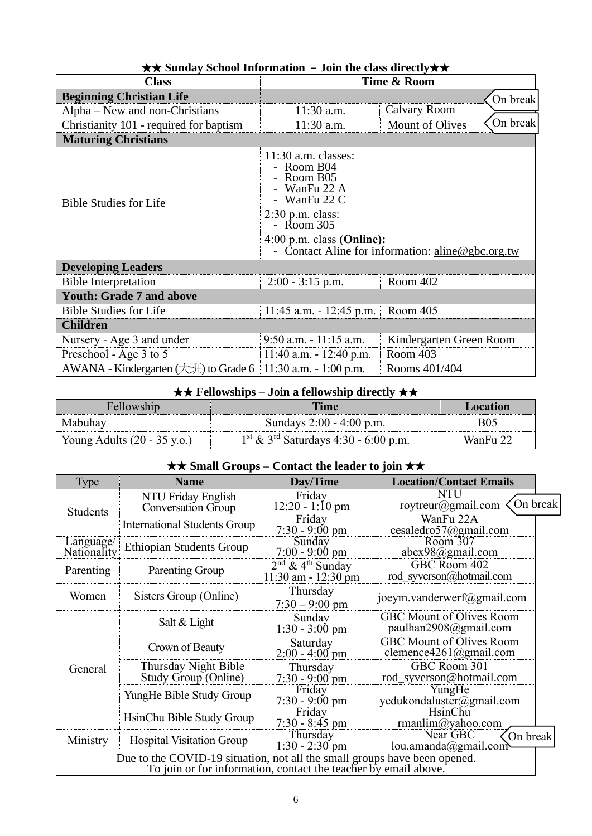| <b>Class</b>                              | Time & Room                                                                                                                                                                                                                  |                                    |  |  |  |
|-------------------------------------------|------------------------------------------------------------------------------------------------------------------------------------------------------------------------------------------------------------------------------|------------------------------------|--|--|--|
| <b>Beginning Christian Life</b>           | On break                                                                                                                                                                                                                     |                                    |  |  |  |
| $Alpha - New$ and non-Christians          | 11:30 a.m.                                                                                                                                                                                                                   | Calvary Room                       |  |  |  |
| Christianity 101 - required for baptism   | 11:30 a.m.                                                                                                                                                                                                                   | On break<br><b>Mount of Olives</b> |  |  |  |
| <b>Maturing Christians</b>                |                                                                                                                                                                                                                              |                                    |  |  |  |
| <b>Bible Studies for Life</b>             | $11:30$ a.m. classes:<br>- Room B04<br>- Room B05<br>WanFu 22 A<br>- WanFu 22 C<br>$2:30$ p.m. class:<br>$-$ Room 305<br>$4:00$ p.m. class (Online):<br>- Contact Aline for information: $\frac{\text{aline}@gbc.org.tw}{ }$ |                                    |  |  |  |
| <b>Developing Leaders</b>                 |                                                                                                                                                                                                                              |                                    |  |  |  |
| <b>Bible Interpretation</b>               | Room 402<br>$2:00 - 3:15$ p.m.                                                                                                                                                                                               |                                    |  |  |  |
| <b>Youth: Grade 7 and above</b>           |                                                                                                                                                                                                                              |                                    |  |  |  |
| <b>Bible Studies for Life</b>             | Room 405<br>$11:45$ a.m. $-12:45$ p.m.                                                                                                                                                                                       |                                    |  |  |  |
| <b>Children</b>                           |                                                                                                                                                                                                                              |                                    |  |  |  |
| Nursery - Age 3 and under                 | $9:50$ a.m. $-11:15$ a.m.                                                                                                                                                                                                    | Kindergarten Green Room            |  |  |  |
| Preschool - Age 3 to 5                    | Room 403<br>11:40 a.m. - 12:40 p.m.                                                                                                                                                                                          |                                    |  |  |  |
| AWANA - Kindergarten $(\pm 1)$ to Grade 6 | $11:30$ a.m. $-1:00$ p.m.                                                                                                                                                                                                    | Rooms 401/404                      |  |  |  |

## ★★ **Sunday School Information** –**Join the class directly**★★

## ★★ **Fellowships – Join a fellowship directly** ★★

| Fellowship                            | <b>Time</b>                                                  | Location |
|---------------------------------------|--------------------------------------------------------------|----------|
| Mabuhay                               | Sundays 2:00 - 4:00 p.m.                                     | B05      |
| Young Adults $(20 - 35 \text{ y.o.})$ | $1^{\text{st}}$ & 3 <sup>rd</sup> Saturdays 4:30 - 6:00 p.m. | WanFu 22 |

## ★★ **Small Groups – Contact the leader to join** ★★

| Type                                                                                                                                         | <b>Name</b>                                     | Day/Time                                                 | <b>Location/Contact Emails</b>                                 |  |
|----------------------------------------------------------------------------------------------------------------------------------------------|-------------------------------------------------|----------------------------------------------------------|----------------------------------------------------------------|--|
| <b>Students</b>                                                                                                                              | NTU Friday English<br><b>Conversation Group</b> | Friday<br>$12:20 - 1:10$ pm                              | NTU<br>On break<br>roytreur@gmail.com                          |  |
|                                                                                                                                              | <b>International Students Group</b>             | Friday<br>$7:30 - 9:00 \text{ pm}$                       | WanFu 22A<br>cesaledro57@gmail.com                             |  |
| Language/<br>Nationality                                                                                                                     | <b>Ethiopian Students Group</b>                 | Sunday<br>$7:00 - 9:00$ pm                               | Room 307<br>abex98@gmail.com                                   |  |
| Parenting                                                                                                                                    | Parenting Group                                 | $2nd$ & 4 <sup>th</sup> Sunday<br>$11:30$ am $-12:30$ pm | GBC Room 402<br>rod syverson@hotmail.com                       |  |
| Women                                                                                                                                        | Sisters Group (Online)                          | Thursday<br>$7:30 - 9:00$ pm                             | joeym.vanderwerf@gmail.com                                     |  |
| General                                                                                                                                      | Salt & Light                                    | Sunday<br>$1:30 - 3:00$ pm                               | <b>GBC Mount of Olives Room</b><br>paulhan2908@gmail.com       |  |
|                                                                                                                                              | Crown of Beauty                                 | Saturday<br>$2:00 - 4:00$ pm                             | <b>GBC Mount of Olives Room</b><br>clemence $4261$ (@gmail.com |  |
|                                                                                                                                              | Thursday Night Bible<br>Study Group (Online)    | Thursday<br>$7:30 - 9:00$ pm                             | GBC Room 301<br>rod_syverson@hotmail.com                       |  |
|                                                                                                                                              | YungHe Bible Study Group                        | Friday<br>$7:30 - 9:00 \text{ pm}$                       | YungHe<br>yedukondaluster@gmail.com                            |  |
|                                                                                                                                              | HsinChu Bible Study Group                       | Friday<br>$7:30 - 8:45$ pm                               | <b>HsinChu</b><br>rmanlim@yahoo.com                            |  |
| Ministry                                                                                                                                     | <b>Hospital Visitation Group</b>                | Thursday<br>$1:30 - 2:30$ pm                             | Near GBC<br>On break<br>lou.amanda@gmail.com                   |  |
| Due to the COVID-19 situation, not all the small groups have been opened.<br>To join or for information, contact the teacher by email above. |                                                 |                                                          |                                                                |  |